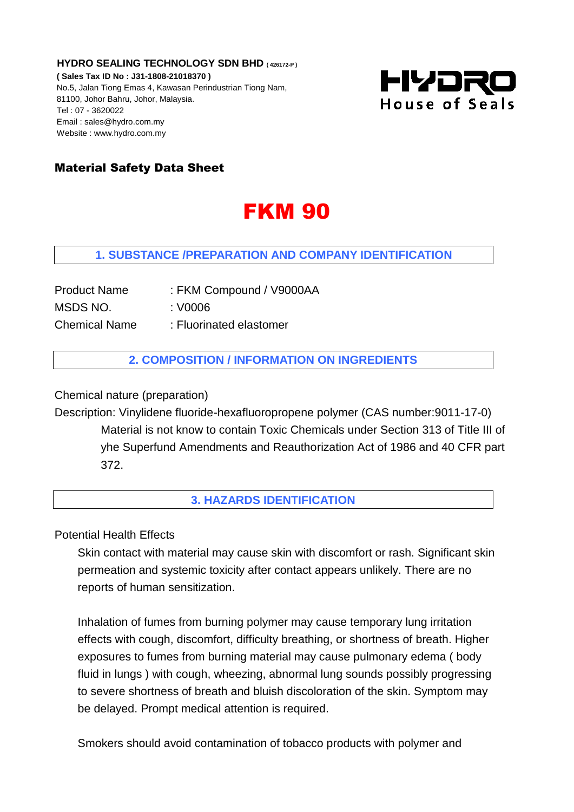**HYDRO SEALING TECHNOLOGY SDN BHD ( 426172-P ) ( Sales Tax ID No : J31-1808-21018370 )** No.5, Jalan Tiong Emas 4, Kawasan Perindustrian Tiong Nam, 81100, Johor Bahru, Johor, Malaysia. Tel : 07 - 3620022 Email : sales@hydro.com.my Website : www.hydro.com.my



## Material Safety Data Sheet

# FKM 90

#### **1. SUBSTANCE /PREPARATION AND COMPANY IDENTIFICATION**

| <b>Product Name</b>  | : FKM Compound / V9000AA |
|----------------------|--------------------------|
| MSDS NO.             | : V0006                  |
| <b>Chemical Name</b> | : Fluorinated elastomer  |

**2. COMPOSITION / INFORMATION ON INGREDIENTS**

Chemical nature (preparation)

Description: Vinylidene fluoride-hexafluoropropene polymer (CAS number:9011-17-0) Material is not know to contain Toxic Chemicals under Section 313 of Title III of yhe Superfund Amendments and Reauthorization Act of 1986 and 40 CFR part 372.

#### **3. HAZARDS IDENTIFICATION**

Potential Health Effects

Skin contact with material may cause skin with discomfort or rash. Significant skin permeation and systemic toxicity after contact appears unlikely. There are no reports of human sensitization.

Inhalation of fumes from burning polymer may cause temporary lung irritation effects with cough, discomfort, difficulty breathing, or shortness of breath. Higher exposures to fumes from burning material may cause pulmonary edema ( body fluid in lungs ) with cough, wheezing, abnormal lung sounds possibly progressing to severe shortness of breath and bluish discoloration of the skin. Symptom may be delayed. Prompt medical attention is required.

Smokers should avoid contamination of tobacco products with polymer and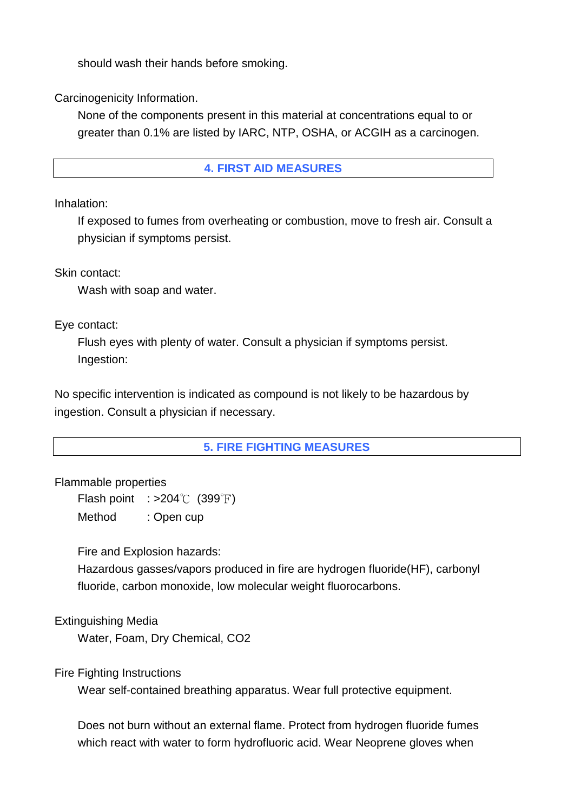should wash their hands before smoking.

Carcinogenicity Information.

None of the components present in this material at concentrations equal to or greater than 0.1% are listed by IARC, NTP, OSHA, or ACGIH as a carcinogen.

## **4. FIRST AID MEASURES**

Inhalation:

If exposed to fumes from overheating or combustion, move to fresh air. Consult a physician if symptoms persist.

Skin contact:

Wash with soap and water.

Eye contact:

Flush eyes with plenty of water. Consult a physician if symptoms persist. Ingestion:

No specific intervention is indicated as compound is not likely to be hazardous by ingestion. Consult a physician if necessary.

## **5. FIRE FIGHTING MEASURES**

Flammable properties

Flash point  $: >204^{\circ}$  (399°F) Method : Open cup

Fire and Explosion hazards:

Hazardous gasses/vapors produced in fire are hydrogen fluoride(HF), carbonyl fluoride, carbon monoxide, low molecular weight fluorocarbons.

Extinguishing Media

Water, Foam, Dry Chemical, CO2

Fire Fighting Instructions

Wear self-contained breathing apparatus. Wear full protective equipment.

Does not burn without an external flame. Protect from hydrogen fluoride fumes which react with water to form hydrofluoric acid. Wear Neoprene gloves when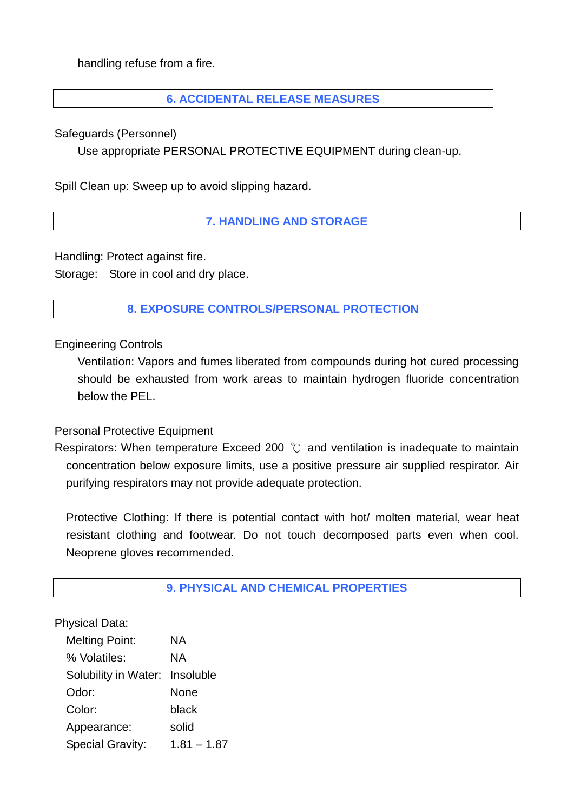handling refuse from a fire.

## **6. ACCIDENTAL RELEASE MEASURES**

Safeguards (Personnel)

Use appropriate PERSONAL PROTECTIVE EQUIPMENT during clean-up.

Spill Clean up: Sweep up to avoid slipping hazard.

## **7. HANDLING AND STORAGE**

Handling: Protect against fire.

Storage: Store in cool and dry place.

## **8. EXPOSURE CONTROLS/PERSONAL PROTECTION**

Engineering Controls

Ventilation: Vapors and fumes liberated from compounds during hot cured processing should be exhausted from work areas to maintain hydrogen fluoride concentration below the PEL.

#### Personal Protective Equipment

Respirators: When temperature Exceed 200 ℃ and ventilation is inadequate to maintain concentration below exposure limits, use a positive pressure air supplied respirator. Air purifying respirators may not provide adequate protection.

Protective Clothing: If there is potential contact with hot/ molten material, wear heat resistant clothing and footwear. Do not touch decomposed parts even when cool. Neoprene gloves recommended.

**9. PHYSICAL AND CHEMICAL PROPERTIES**

Physical Data:

| <b>Melting Point:</b>          | ΝA            |
|--------------------------------|---------------|
| % Volatiles:                   | ΝA            |
| Solubility in Water: Insoluble |               |
| Odor:                          | None          |
| Color:                         | black         |
| Appearance:                    | solid         |
| <b>Special Gravity:</b>        | $1.81 - 1.87$ |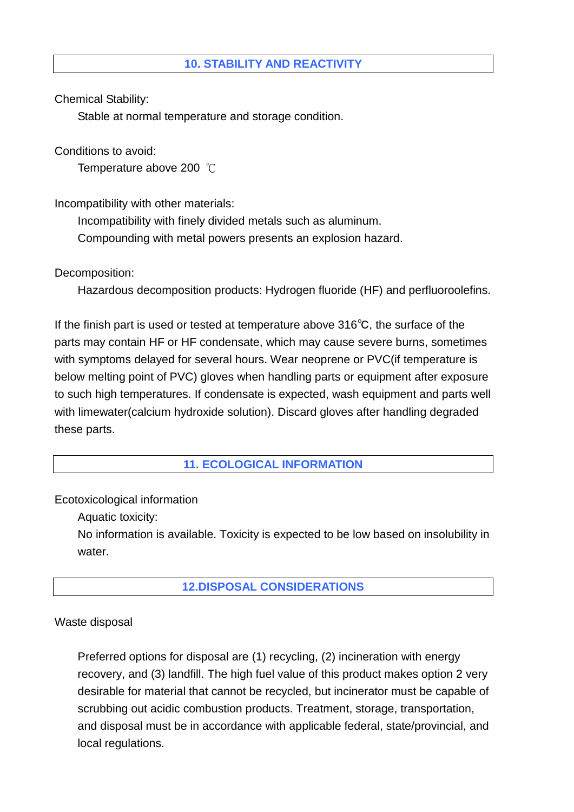Chemical Stability:

Stable at normal temperature and storage condition.

Conditions to avoid:

Temperature above 200 ℃

Incompatibility with other materials:

Incompatibility with finely divided metals such as aluminum.

Compounding with metal powers presents an explosion hazard.

Decomposition:

Hazardous decomposition products: Hydrogen fluoride (HF) and perfluoroolefins.

If the finish part is used or tested at temperature above 316℃, the surface of the parts may contain HF or HF condensate, which may cause severe burns, sometimes with symptoms delayed for several hours. Wear neoprene or PVC(if temperature is below melting point of PVC) gloves when handling parts or equipment after exposure to such high temperatures. If condensate is expected, wash equipment and parts well with limewater(calcium hydroxide solution). Discard gloves after handling degraded these parts.

**11. ECOLOGICAL INFORMATION** 

Ecotoxicological information

Aquatic toxicity:

No information is available. Toxicity is expected to be low based on insolubility in water.

## **12.DISPOSAL CONSIDERATIONS**

Waste disposal

 Preferred options for disposal are (1) recycling, (2) incineration with energy recovery, and (3) landfill. The high fuel value of this product makes option 2 very desirable for material that cannot be recycled, but incinerator must be capable of scrubbing out acidic combustion products. Treatment, storage, transportation, and disposal must be in accordance with applicable federal, state/provincial, and local regulations.